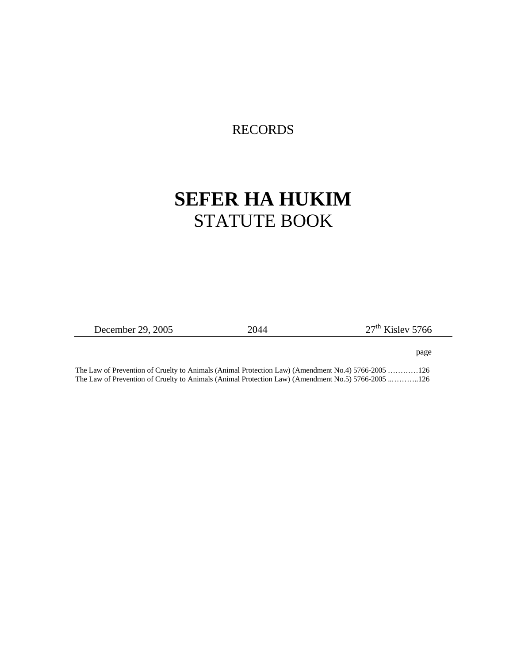## RECORDS

## **SEFER HA HUKIM** STATUTE BOOK

December 29, 2005 2044 27<sup>th</sup> Kislev 5766

 $\overline{\phantom{a}}$ 

page

The Law of Prevention of Cruelty to Animals (Animal Protection Law) (Amendment No.4) 5766-2005 …………126 The Law of Prevention of Cruelty to Animals (Animal Protection Law) (Amendment No.5) 5766-2005 ..………..126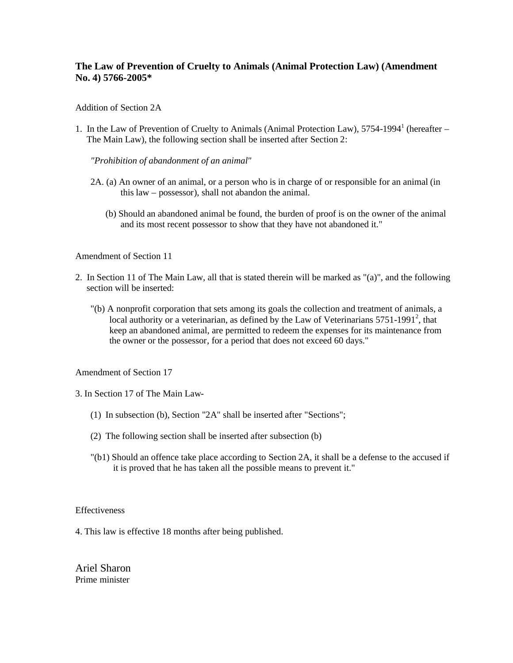## **The Law of Prevention of Cruelty to Animals (Animal Protection Law) (Amendment No. 4) 5766-2005\***

Addition of Section 2A

1. In the Law of Prevention of Cruelty to Animals (Animal Protection Law), 5754-1994<sup>1</sup> (hereafter -The Main Law), the following section shall be inserted after Section 2:

*"Prohibition of abandonment of an animal"*

- 2A. (a) An owner of an animal, or a person who is in charge of or responsible for an animal (in this law – possessor), shall not abandon the animal.
	- (b) Should an abandoned animal be found, the burden of proof is on the owner of the animal and its most recent possessor to show that they have not abandoned it."

Amendment of Section 11

- 2. In Section 11 of The Main Law, all that is stated therein will be marked as "(a)", and the following section will be inserted:
	- "(b) A nonprofit corporation that sets among its goals the collection and treatment of animals, a local authority or a veterinarian, as defined by the Law of Veterinarians  $5751-1991^2$ , that keep an abandoned animal, are permitted to redeem the expenses for its maintenance from the owner or the possessor, for a period that does not exceed 60 days."

Amendment of Section 17

3. In Section 17 of The Main Law-

- (1) In subsection (b), Section "2A" shall be inserted after "Sections";
- (2) The following section shall be inserted after subsection (b)
- "(b1) Should an offence take place according to Section 2A, it shall be a defense to the accused if it is proved that he has taken all the possible means to prevent it."

Effectiveness

4. This law is effective 18 months after being published.

Ariel Sharon Prime minister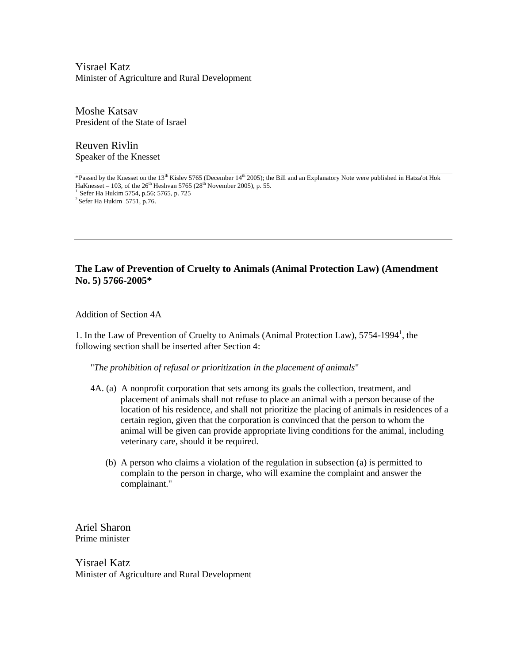Yisrael Katz Minister of Agriculture and Rural Development

Moshe Katsav President of the State of Israel

Reuven Rivlin Speaker of the Knesset

\*Passed by the Knesset on the 13th Kislev 5765 (December 14th 2005); the Bill and an Explanatory Note were published in Hatza'ot Hok HaKnesset – 103, of the  $26<sup>th</sup>$  Heshvan 5765 ( $28<sup>th</sup>$  November 2005), p. 55.  $1$  Sefer Ha Hukim 5754, p.56; 5765, p. 725  $2$  Sefer Ha Hukim 5751, p.76.

## **The Law of Prevention of Cruelty to Animals (Animal Protection Law) (Amendment No. 5) 5766-2005\***

Addition of Section 4A

1. In the Law of Prevention of Cruelty to Animals (Animal Protection Law), 5754-1994<sup>1</sup>, the following section shall be inserted after Section 4:

"*The prohibition of refusal or prioritization in the placement of animals*"

- 4A. (a) A nonprofit corporation that sets among its goals the collection, treatment, and placement of animals shall not refuse to place an animal with a person because of the location of his residence, and shall not prioritize the placing of animals in residences of a certain region, given that the corporation is convinced that the person to whom the animal will be given can provide appropriate living conditions for the animal, including veterinary care, should it be required.
	- (b) A person who claims a violation of the regulation in subsection (a) is permitted to complain to the person in charge, who will examine the complaint and answer the complainant."

Ariel Sharon Prime minister

Yisrael Katz Minister of Agriculture and Rural Development